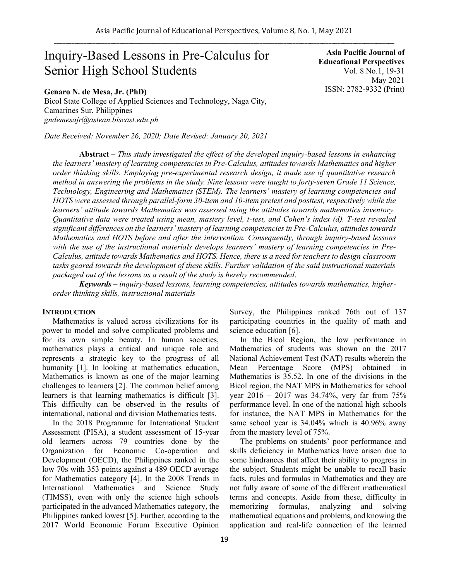# Inquiry-Based Lessons in Pre-Calculus for Senior High School Students

**Genaro N. de Mesa, Jr. (PhD)**

Bicol State College of Applied Sciences and Technology, Naga City, Camarines Sur, Philippines *gndemesajr@astean.biscast.edu.ph*

*Date Received: November 26, 2020; Date Revised: January 20, 2021*

**Abstract** *– This study investigated the effect of the developed inquiry-based lessons in enhancing the learners' mastery of learning competencies in Pre-Calculus, attitudes towards Mathematics and higher order thinking skills. Employing pre-experimental research design, it made use of quantitative research method in answering the problems in the study. Nine lessons were taught to forty-seven Grade 11 Science, Technology, Engineering and Mathematics (STEM). The learners' mastery of learning competencies and HOTS were assessed through parallel-form 30-item and 10-item pretest and posttest, respectively while the learners' attitude towards Mathematics was assessed using the attitudes towards mathematics inventory. Quantitative data were treated using mean, mastery level, t-test, and Cohen's index (d). T-test revealed significant differences on the learners' mastery of learning competencies in Pre-Calculus, attitudes towards Mathematics and HOTS before and after the intervention. Consequently, through inquiry-based lessons with the use of the instructional materials develops learners' mastery of learning competencies in Pre-Calculus, attitude towards Mathematics and HOTS. Hence, there is a need for teachers to design classroom tasks geared towards the development of these skills. Further validation of the said instructional materials packaged out of the lessons as a result of the study is hereby recommended.*

*Keywords – inquiry-based lessons, learning competencies, attitudes towards mathematics, higherorder thinking skills, instructional materials*

## **INTRODUCTION**

Mathematics is valued across civilizations for its power to model and solve complicated problems and for its own simple beauty. In human societies, mathematics plays a critical and unique role and represents a strategic key to the progress of all humanity [1]. In looking at mathematics education, Mathematics is known as one of the major learning challenges to learners [2]. The common belief among learners is that learning mathematics is difficult [3]. This difficulty can be observed in the results of international, national and division Mathematics tests.

In the 2018 Programme for International Student Assessment (PISA), a student assessment of 15-year old learners across 79 countries done by the Organization for Economic Co-operation and Development (OECD), the Philippines ranked in the low 70s with 353 points against a 489 OECD average for Mathematics category [4]. In the 2008 Trends in International Mathematics and Science Study (TIMSS), even with only the science high schools participated in the advanced Mathematics category, the Philippines ranked lowest [5]. Further, according to the 2017 World Economic Forum Executive Opinion Survey, the Philippines ranked 76th out of 137 participating countries in the quality of math and science education [6].

In the Bicol Region, the low performance in Mathematics of students was shown on the 2017 National Achievement Test (NAT) results wherein the Mean Percentage Score (MPS) obtained in Mathematics is 35.52. In one of the divisions in the Bicol region, the NAT MPS in Mathematics for school year 2016 – 2017 was 34.74%, very far from 75% performance level. In one of the national high schools for instance, the NAT MPS in Mathematics for the same school year is 34.04% which is 40.96% away from the mastery level of 75%.

The problems on students' poor performance and skills deficiency in Mathematics have arisen due to some hindrances that affect their ability to progress in the subject. Students might be unable to recall basic facts, rules and formulas in Mathematics and they are not fully aware of some of the different mathematical terms and concepts. Aside from these, difficulty in memorizing formulas, analyzing and solving mathematical equations and problems, and knowing the application and real-life connection of the learned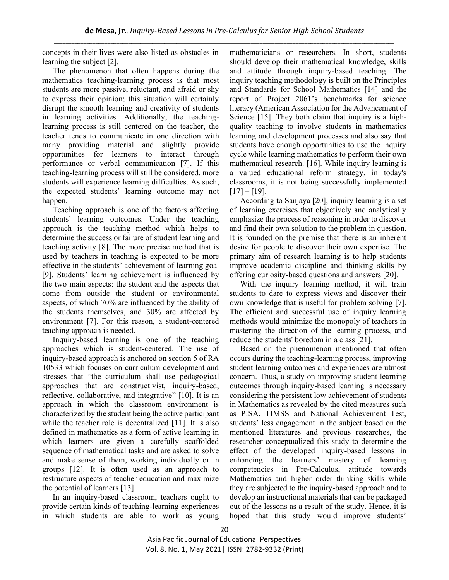concepts in their lives were also listed as obstacles in learning the subject [2].

The phenomenon that often happens during the mathematics teaching-learning process is that most students are more passive, reluctant, and afraid or shy to express their opinion; this situation will certainly disrupt the smooth learning and creativity of students in learning activities. Additionally, the teachinglearning process is still centered on the teacher, the teacher tends to communicate in one direction with many providing material and slightly provide opportunities for learners to interact through performance or verbal communication [7]. If this teaching-learning process will still be considered, more students will experience learning difficulties. As such, the expected students' learning outcome may not happen.

Teaching approach is one of the factors affecting students' learning outcomes. Under the teaching approach is the teaching method which helps to determine the success or failure of student learning and teaching activity [8]. The more precise method that is used by teachers in teaching is expected to be more effective in the students' achievement of learning goal [9]. Students' learning achievement is influenced by the two main aspects: the student and the aspects that come from outside the student or environmental aspects, of which 70% are influenced by the ability of the students themselves, and 30% are affected by environment [7]. For this reason, a student-centered teaching approach is needed.

Inquiry-based learning is one of the teaching approaches which is student-centered. The use of inquiry-based approach is anchored on section 5 of RA 10533 which focuses on curriculum development and stresses that "the curriculum shall use pedagogical approaches that are constructivist, inquiry-based, reflective, collaborative, and integrative" [10]. It is an approach in which the classroom environment is characterized by the student being the active participant while the teacher role is decentralized [11]. It is also defined in mathematics as a form of active learning in which learners are given a carefully scaffolded sequence of mathematical tasks and are asked to solve and make sense of them, working individually or in groups [12]. It is often used as an approach to restructure aspects of teacher education and maximize the potential of learners [13].

In an inquiry-based classroom, teachers ought to provide certain kinds of teaching-learning experiences in which students are able to work as young mathematicians or researchers. In short, students should develop their mathematical knowledge, skills and attitude through inquiry-based teaching. The inquiry teaching methodology is built on the Principles and Standards for School Mathematics [14] and the report of Project 2061's benchmarks for science literacy (American Association for the Advancement of Science [15]. They both claim that inquiry is a highquality teaching to involve students in mathematics learning and development processes and also say that students have enough opportunities to use the inquiry cycle while learning mathematics to perform their own mathematical research. [16]. While inquiry learning is a valued educational reform strategy, in today's classrooms, it is not being successfully implemented  $[17] - [19]$ .

According to Sanjaya [20], inquiry learning is a set of learning exercises that objectively and analytically emphasize the process of reasoning in order to discover and find their own solution to the problem in question. It is founded on the premise that there is an inherent desire for people to discover their own expertise. The primary aim of research learning is to help students improve academic discipline and thinking skills by offering curiosity-based questions and answers [20].

With the inquiry learning method, it will train students to dare to express views and discover their own knowledge that is useful for problem solving [7]. The efficient and successful use of inquiry learning methods would minimize the monopoly of teachers in mastering the direction of the learning process, and reduce the students' boredom in a class [21].

Based on the phenomenon mentioned that often occurs during the teaching-learning process, improving student learning outcomes and experiences are utmost concern. Thus, a study on improving student learning outcomes through inquiry-based learning is necessary considering the persistent low achievement of students in Mathematics as revealed by the cited measures such as PISA, TIMSS and National Achievement Test, students' less engagement in the subject based on the mentioned literatures and previous researches, the researcher conceptualized this study to determine the effect of the developed inquiry-based lessons in enhancing the learners' mastery of learning competencies in Pre-Calculus, attitude towards Mathematics and higher order thinking skills while they are subjected to the inquiry-based approach and to develop an instructional materials that can be packaged out of the lessons as a result of the study. Hence, it is hoped that this study would improve students'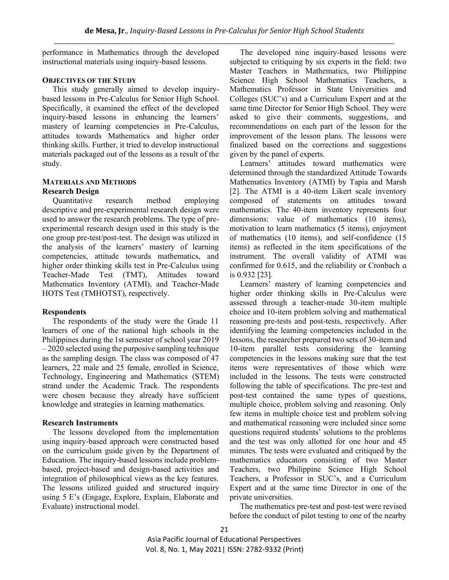performance in Mathematics through the developed instructional materials using inquiry-based lessons.

## **OBJECTIVES OF THE STUDY**

This study generally aimed to develop inquirybased lessons in Pre-Calculus for Senior High School. Specifically, it examined the effect of the developed inquiry-based lessons in enhancing the learners' mastery of learning competencies in Pre-Calculus, attitudes towards Mathematics and higher order thinking skills. Further, it tried to develop instructional materials packaged out of the lessons as a result of the study.

# **MATERIALS AND METHODS Research Design**

Quantitative research method employing descriptive and pre-experimental research design were used to answer the research problems. The type of preexperimental research design used in this study is the one group pre-test/post-test. The design was utilized in the analysis of the learners' mastery of learning competencies, attitude towards mathematics, and higher order thinking skills test in Pre-Calculus using Teacher-Made Test (TMT), Attitudes toward Mathematics Inventory (ATMI), and Teacher-Made HOTS Test (TMHOTST), respectively.

## **Respondents**

 The respondents of the study were the Grade 11 learners of one of the national high schools in the Philippines during the 1st semester of school year 2019 – 2020 selected using the purposive sampling technique as the sampling design. The class was composed of 47 learners, 22 male and 25 female, enrolled in Science, Technology, Engineering and Mathematics (STEM) strand under the Academic Track. The respondents were chosen because they already have sufficient knowledge and strategies in learning mathematics.

## **Research Instruments**

The lessons developed from the implementation using inquiry-based approach were constructed based on the curriculum guide given by the Department of Education. The inquiry-based lessons include problembased, project-based and design-based activities and integration of philosophical views as the key features. The lessons utilized guided and structured inquiry using 5 E's (Engage, Explore, Explain, Elaborate and Evaluate) instructional model.

The developed nine inquiry-based lessons were subjected to critiquing by six experts in the field: two Master Teachers in Mathematics, two Philippine Science High School Mathematics Teachers, a Mathematics Professor in State Universities and Colleges (SUC's) and a Curriculum Expert and at the same time Director for Senior High School. They were asked to give their comments, suggestions, and recommendations on each part of the lesson for the improvement of the lesson plans. The lessons were finalized based on the corrections and suggestions given by the panel of experts.

Learners' attitudes toward mathematics were determined through the standardized Attitude Towards Mathematics Inventory (ATMI) by Tapia and Marsh [2]. The ATMI is a 40-item Likert scale inventory composed of statements on attitudes toward mathematics. The 40-item inventory represents four dimensions: value of mathematics (10 items), motivation to learn mathematics (5 items), enjoyment of mathematics (10 items), and self-confidence (15 items) as reflected in the item specifications of the instrument. The overall validity of ATMI was confirmed for 0.615, and the reliability or Cronbach ɑ is 0.932 [23].

Learners' mastery of learning competencies and higher order thinking skills in Pre-Calculus were assessed through a teacher-made 30-item multiple choice and 10-item problem solving and mathematical reasoning pre-tests and post-tests, respectively. After identifying the learning competencies included in the lessons, the researcher prepared two sets of 30-item and 10-item parallel tests considering the learning competencies in the lessons making sure that the test items were representatives of those which were included in the lessons. The tests were constructed following the table of specifications. The pre-test and post-test contained the same types of questions, multiple choice, problem solving and reasoning. Only few items in multiple choice test and problem solving and mathematical reasoning were included since some questions required students' solutions to the problems and the test was only allotted for one hour and 45 minutes. The tests were evaluated and critiqued by the mathematics educators consisting of two Master Teachers, two Philippine Science High School Teachers, a Professor in SUC's, and a Curriculum Expert and at the same time Director in one of the private universities.

The mathematics pre-test and post-test were revised before the conduct of pilot testing to one of the nearby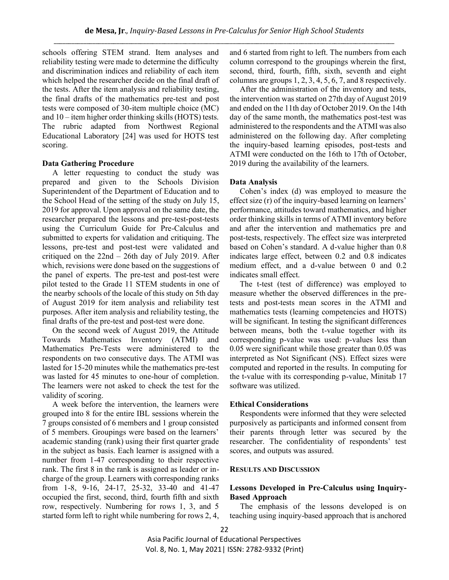schools offering STEM strand. Item analyses and reliability testing were made to determine the difficulty and discrimination indices and reliability of each item which helped the researcher decide on the final draft of the tests. After the item analysis and reliability testing, the final drafts of the mathematics pre-test and post tests were composed of 30-item multiple choice (MC) and 10 – item higher order thinking skills (HOTS) tests. The rubric adapted from Northwest Regional Educational Laboratory [24] was used for HOTS test scoring.

#### **Data Gathering Procedure**

 A letter requesting to conduct the study was prepared and given to the Schools Division Superintendent of the Department of Education and to the School Head of the setting of the study on July 15, 2019 for approval. Upon approval on the same date, the researcher prepared the lessons and pre-test-post-tests using the Curriculum Guide for Pre-Calculus and submitted to experts for validation and critiquing. The lessons, pre-test and post-test were validated and critiqued on the 22nd – 26th day of July 2019. After which, revisions were done based on the suggestions of the panel of experts. The pre-test and post-test were pilot tested to the Grade 11 STEM students in one of the nearby schools of the locale of this study on 5th day of August 2019 for item analysis and reliability test purposes. After item analysis and reliability testing, the final drafts of the pre-test and post-test were done.

 On the second week of August 2019, the Attitude Towards Mathematics Inventory (ATMI) and Mathematics Pre-Tests were administered to the respondents on two consecutive days. The ATMI was lasted for 15-20 minutes while the mathematics pre-test was lasted for 45 minutes to one-hour of completion. The learners were not asked to check the test for the validity of scoring.

 A week before the intervention, the learners were grouped into 8 for the entire IBL sessions wherein the 7 groups consisted of 6 members and 1 group consisted of 5 members. Groupings were based on the learners' academic standing (rank) using their first quarter grade in the subject as basis. Each learner is assigned with a number from 1-47 corresponding to their respective rank. The first 8 in the rank is assigned as leader or incharge of the group. Learners with corresponding ranks from 1-8, 9-16, 24-17, 25-32, 33-40 and 41-47 occupied the first, second, third, fourth fifth and sixth row, respectively. Numbering for rows 1, 3, and 5 started form left to right while numbering for rows 2, 4,

and 6 started from right to left. The numbers from each column correspond to the groupings wherein the first, second, third, fourth, fifth, sixth, seventh and eight columns are groups 1, 2, 3, 4, 5, 6, 7, and 8 respectively.

 After the administration of the inventory and tests, the intervention was started on 27th day of August 2019 and ended on the 11th day of October 2019. On the 14th day of the same month, the mathematics post-test was administered to the respondents and the ATMI was also administered on the following day. After completing the inquiry-based learning episodes, post-tests and ATMI were conducted on the 16th to 17th of October, 2019 during the availability of the learners.

#### **Data Analysis**

 Cohen's index (d) was employed to measure the effect size (r) of the inquiry-based learning on learners' performance, attitudes toward mathematics, and higher order thinking skills in terms of ATMI inventory before and after the intervention and mathematics pre and post-tests, respectively. The effect size was interpreted based on Cohen's standard. A d-value higher than 0.8 indicates large effect, between 0.2 and 0.8 indicates medium effect, and a d-value between 0 and 0.2 indicates small effect.

 The t-test (test of difference) was employed to measure whether the observed differences in the pretests and post-tests mean scores in the ATMI and mathematics tests (learning competencies and HOTS) will be significant. In testing the significant differences between means, both the t-value together with its corresponding p-value was used: p-values less than 0.05 were significant while those greater than 0.05 was interpreted as Not Significant (NS). Effect sizes were computed and reported in the results. In computing for the t-value with its corresponding p-value, Minitab 17 software was utilized.

#### **Ethical Considerations**

 Respondents were informed that they were selected purposively as participants and informed consent from their parents through letter was secured by the researcher. The confidentiality of respondents' test scores, and outputs was assured.

#### **RESULTS AND DISCUSSION**

## **Lessons Developed in Pre-Calculus using Inquiry-Based Approach**

The emphasis of the lessons developed is on teaching using inquiry-based approach that is anchored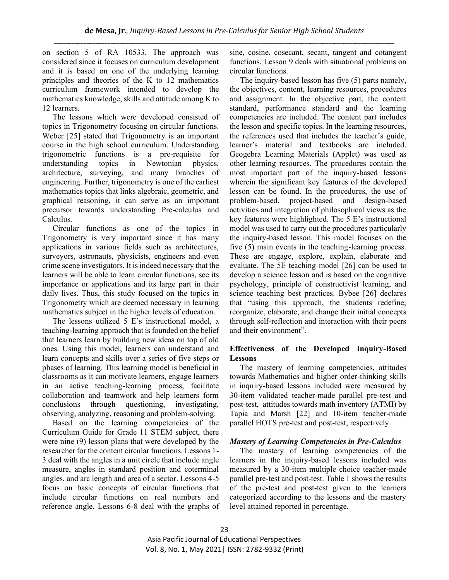on section 5 of RA 10533. The approach was considered since it focuses on curriculum development and it is based on one of the underlying learning principles and theories of the K to 12 mathematics curriculum framework intended to develop the mathematics knowledge, skills and attitude among K to 12 learners.

The lessons which were developed consisted of topics in Trigonometry focusing on circular functions. Weber [25] stated that Trigonometry is an important course in the high school curriculum. Understanding trigonometric functions is a pre-requisite for understanding topics in Newtonian physics, architecture, surveying, and many branches of engineering. Further, trigonometry is one of the earliest mathematics topics that links algebraic, geometric, and graphical reasoning, it can serve as an important precursor towards understanding Pre-calculus and Calculus.

Circular functions as one of the topics in Trigonometry is very important since it has many applications in various fields such as architectures, surveyors, astronauts, physicists, engineers and even crime scene investigators. It is indeed necessary that the learners will be able to learn circular functions, see its importance or applications and its large part in their daily lives. Thus, this study focused on the topics in Trigonometry which are deemed necessary in learning mathematics subject in the higher levels of education.

The lessons utilized 5 E's instructional model, a teaching-learning approach that is founded on the belief that learners learn by building new ideas on top of old ones. Using this model, learners can understand and learn concepts and skills over a series of five steps or phases of learning. This learning model is beneficial in classrooms as it can motivate learners, engage learners in an active teaching-learning process, facilitate collaboration and teamwork and help learners form conclusions through questioning, investigating, observing, analyzing, reasoning and problem-solving.

Based on the learning competencies of the Curriculum Guide for Grade 11 STEM subject, there were nine (9) lesson plans that were developed by the researcher for the content circular functions. Lessons 1- 3 deal with the angles in a unit circle that include angle measure, angles in standard position and coterminal angles, and arc length and area of a sector. Lessons 4-5 focus on basic concepts of circular functions that include circular functions on real numbers and reference angle. Lessons 6-8 deal with the graphs of sine, cosine, cosecant, secant, tangent and cotangent functions. Lesson 9 deals with situational problems on circular functions.

The inquiry-based lesson has five (5) parts namely, the objectives, content, learning resources, procedures and assignment. In the objective part, the content standard, performance standard and the learning competencies are included. The content part includes the lesson and specific topics. In the learning resources, the references used that includes the teacher's guide, learner's material and textbooks are included. Geogebra Learning Materials (Applet) was used as other learning resources. The procedures contain the most important part of the inquiry-based lessons wherein the significant key features of the developed lesson can be found. In the procedures, the use of problem-based, project-based and design-based activities and integration of philosophical views as the key features were highlighted. The 5 E's instructional model was used to carry out the procedures particularly the inquiry-based lesson. This model focuses on the five (5) main events in the teaching-learning process. These are engage, explore, explain, elaborate and evaluate. The 5E teaching model [26] can be used to develop a science lesson and is based on the cognitive psychology, principle of constructivist learning, and science teaching best practices. Bybee [26] declares that "using this approach, the students redefine, reorganize, elaborate, and change their initial concepts through self-reflection and interaction with their peers and their environment".

## **Effectiveness of the Developed Inquiry-Based Lessons**

The mastery of learning competencies, attitudes towards Mathematics and higher order-thinking skills in inquiry-based lessons included were measured by 30-item validated teacher-made parallel pre-test and post-test, attitudes towards math inventory (ATMI) by Tapia and Marsh [22] and 10-item teacher-made parallel HOTS pre-test and post-test, respectively.

## *Mastery of Learning Competencies in Pre-Calculus*

The mastery of learning competencies of the learners in the inquiry-based lessons included was measured by a 30-item multiple choice teacher-made parallel pre-test and post-test. Table 1 shows the results of the pre-test and post-test given to the learners categorized according to the lessons and the mastery level attained reported in percentage.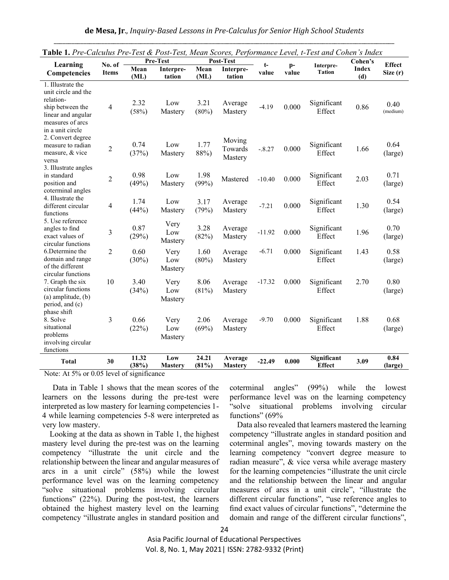| Table 1. Pre-Calculus Pre-Test & Post-Test, Mean Scores, Performance Level, t-Test and Cohen's Index                                    |                |                  |                        |                |                              |          |               |                              |                     |                  |
|-----------------------------------------------------------------------------------------------------------------------------------------|----------------|------------------|------------------------|----------------|------------------------------|----------|---------------|------------------------------|---------------------|------------------|
| Learning                                                                                                                                | No. of         | Pre-Test         |                        | Post-Test      |                              | t-       |               |                              | Cohen's             | <b>Effect</b>    |
| Competencies                                                                                                                            | <b>Items</b>   | Mean<br>(ML)     | Interpre-<br>tation    | Mean<br>(ML)   | Interpre-<br>tation          | value    | $p-$<br>value | Interpre-<br><b>Tation</b>   | <b>Index</b><br>(d) | Size (r)         |
| 1. Illustrate the<br>unit circle and the<br>relation-<br>ship between the<br>linear and angular<br>measures of arcs<br>in a unit circle | $\overline{4}$ | 2.32<br>(58%)    | Low<br>Mastery         | 3.21<br>(80%)  | Average<br>Mastery           | $-4.19$  | 0.000         | Significant<br>Effect        | 0.86                | 0.40<br>(medium) |
| 2. Convert degree<br>measure to radian<br>measure, & vice<br>versa                                                                      | $\overline{2}$ | 0.74<br>(37%)    | Low<br>Mastery         | 1.77<br>88%)   | Moving<br>Towards<br>Mastery | $-.8.27$ | 0.000         | Significant<br>Effect        | 1.66                | 0.64<br>(large)  |
| 3. Illustrate angles<br>in standard<br>position and<br>coterminal angles                                                                | 2              | 0.98<br>(49%)    | Low<br>Mastery         | 1.98<br>(99%)  | Mastered                     | $-10.40$ | 0.000         | Significant<br>Effect        | 2.03                | 0.71<br>(large)  |
| 4. Illustrate the<br>different circular<br>functions                                                                                    | 4              | 1.74<br>(44%)    | Low<br>Mastery         | 3.17<br>(79%)  | Average<br>Mastery           | $-7.21$  | 0.000         | Significant<br>Effect        | 1.30                | 0.54<br>(large)  |
| 5. Use reference<br>angles to find<br>exact values of<br>circular functions                                                             | 3              | 0.87<br>(29%)    | Very<br>Low<br>Mastery | 3.28<br>(82%)  | Average<br>Mastery           | $-11.92$ | 0.000         | Significant<br>Effect        | 1.96                | 0.70<br>(large)  |
| 6. Determine the<br>domain and range<br>of the different<br>circular functions                                                          | $\overline{c}$ | 0.60<br>$(30\%)$ | Very<br>Low<br>Mastery | 1.60<br>(80%)  | Average<br>Mastery           | $-6.71$  | 0.000         | Significant<br>Effect        | 1.43                | 0.58<br>(large)  |
| 7. Graph the six<br>circular functions<br>$(a)$ amplitude, $(b)$<br>period, and (c)<br>phase shift                                      | 10             | 3.40<br>(34%)    | Very<br>Low<br>Mastery | 8.06<br>(81%)  | Average<br>Mastery           | $-17.32$ | 0.000         | Significant<br>Effect        | 2.70                | 0.80<br>(large)  |
| 8. Solve<br>situational<br>problems<br>involving circular<br>functions                                                                  | 3              | 0.66<br>(22%)    | Very<br>Low<br>Mastery | 2.06<br>(69%)  | Average<br>Mastery           | $-9.70$  | 0.000         | Significant<br>Effect        | 1.88                | 0.68<br>(large)  |
| <b>Total</b>                                                                                                                            | 30             | 11.32<br>(38%)   | Low<br><b>Mastery</b>  | 24.21<br>(81%) | Average<br><b>Mastery</b>    | $-22.49$ | 0.000         | Significant<br><b>Effect</b> | 3.09                | 0.84<br>(large)  |

|  |  |  |  |  |  |  |  | Table 1. Pre-Calculus Pre-Test & Post-Test, Mean Scores, Performance Level, t-Test and Cohen's Index |
|--|--|--|--|--|--|--|--|------------------------------------------------------------------------------------------------------|
|--|--|--|--|--|--|--|--|------------------------------------------------------------------------------------------------------|

Note: At 5% or 0.05 level of significance

Data in Table 1 shows that the mean scores of the learners on the lessons during the pre-test were interpreted as low mastery for learning competencies 1- 4 while learning competencies 5-8 were interpreted as very low mastery.

Looking at the data as shown in Table 1, the highest mastery level during the pre-test was on the learning competency "illustrate the unit circle and the relationship between the linear and angular measures of arcs in a unit circle" (58%) while the lowest performance level was on the learning competency "solve situational problems involving circular functions" (22%). During the post-test, the learners obtained the highest mastery level on the learning competency "illustrate angles in standard position and

coterminal angles" (99%) while the lowest performance level was on the learning competency "solve situational problems involving circular functions" (69%)

Data also revealed that learners mastered the learning competency "illustrate angles in standard position and coterminal angles", moving towards mastery on the learning competency "convert degree measure to radian measure", & vice versa while average mastery for the learning competencies "illustrate the unit circle and the relationship between the linear and angular measures of arcs in a unit circle", "illustrate the different circular functions", "use reference angles to find exact values of circular functions", "determine the domain and range of the different circular functions",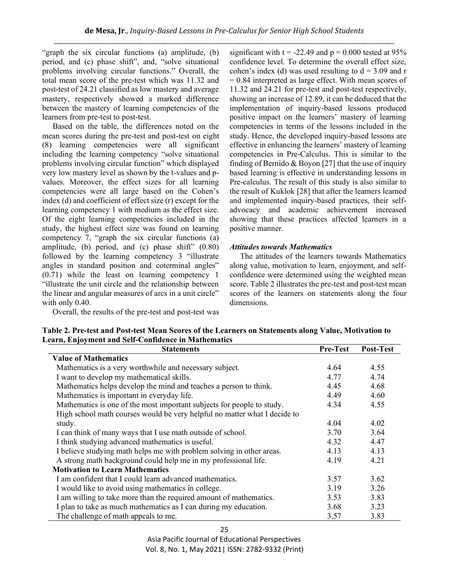"graph the six circular functions (a) amplitude, (b) period, and (c) phase shift", and, "solve situational problems involving circular functions." Overall, the total mean score of the pre-test which was 11.32 and post-test of 24.21 classified as low mastery and average mastery, respectively showed a marked difference between the mastery of learning competencies of the learners from pre-test to post-test.

Based on the table, the differences noted on the mean scores during the pre-test and post-test on eight (8) learning competencies were all significant including the learning competency "solve situational problems involving circular function" which displayed very low mastery level as shown by the t-values and pvalues. Moreover, the effect sizes for all learning competencies were all large based on the Cohen's index (d) and coefficient of effect size (r) except for the learning competency 1 with medium as the effect size. Of the eight learning competencies included in the study, the highest effect size was found on learning competency 7, "graph the six circular functions (a) amplitude, (b) period, and (c) phase shift"  $(0.80)$ followed by the learning competency 3 "illustrate angles in standard position and coterminal angles" (0.71) while the least on learning competency 1 "illustrate the unit circle and the relationship between the linear and angular measures of arcs in a unit circle" with only 0.40.

Overall, the results of the pre-test and post-test was

significant with  $t = -22.49$  and  $p = 0.000$  tested at 95% confidence level. To determine the overall effect size, cohen's index (d) was used resulting to  $d = 3.09$  and r  $= 0.84$  interpreted as large effect. With mean scores of 11.32 and 24.21 for pre-test and post-test respectively, showing an increase of 12.89, it can be deduced that the implementation of inquiry-based lessons produced positive impact on the learners' mastery of learning competencies in terms of the lessons included in the study. Hence, the developed inquiry-based lessons are effective in enhancing the learners' mastery of learning competencies in Pre-Calculus. This is similar to the finding of Bernido  $&$  Boyon [27] that the use of inquiry based learning is effective in understanding lessons in Pre-calculus. The result of this study is also similar to the result of Kuklok [28] that after the learners learned and implemented inquiry-based practices, their selfadvocacy and academic achievement increased showing that these practices affected learners in a positive manner.

# *Attitudes towards Mathematics*

The attitudes of the learners towards Mathematics along value, motivation to learn, enjoyment, and selfconfidence were determined using the weighted mean score. Table 2 illustrates the pre-test and post-test mean scores of the learners on statements along the four dimensions.

| <b>Statements</b>                                                         | <b>Pre-Test</b> | <b>Post-Test</b> |
|---------------------------------------------------------------------------|-----------------|------------------|
| <b>Value of Mathematics</b>                                               |                 |                  |
| Mathematics is a very worthwhile and necessary subject.                   | 4.64            | 4.55             |
| I want to develop my mathematical skills.                                 | 4.77            | 4.74             |
| Mathematics helps develop the mind and teaches a person to think.         | 4.45            | 4.68             |
| Mathematics is important in everyday life.                                | 4.49            | 4.60             |
| Mathematics is one of the most important subjects for people to study.    | 4.34            | 4.55             |
| High school math courses would be very helpful no matter what I decide to |                 |                  |
| study.                                                                    | 4.04            | 4.02             |
| I can think of many ways that I use math outside of school.               | 3.70            | 3.64             |
| I think studying advanced mathematics is useful.                          | 4.32            | 4.47             |
| I believe studying math helps me with problem solving in other areas.     | 4.13            | 4.13             |
| A strong math background could help me in my professional life.           | 4.19            | 4.21             |
| <b>Motivation to Learn Mathematics</b>                                    |                 |                  |
| I am confident that I could learn advanced mathematics.                   | 3.57            | 3.62             |
| I would like to avoid using mathematics in college.                       | 3.19            | 3.26             |
| I am willing to take more than the required amount of mathematics.        | 3.53            | 3.83             |
| I plan to take as much mathematics as I can during my education.          | 3.68            | 3.23             |
| The challenge of math appeals to me.                                      | 3.57            | 3.83             |

**Table 2. Pre-test and Post-test Mean Scores of the Learners on Statements along Value, Motivation to Learn, Enjoyment and Self-Confidence in Mathematics**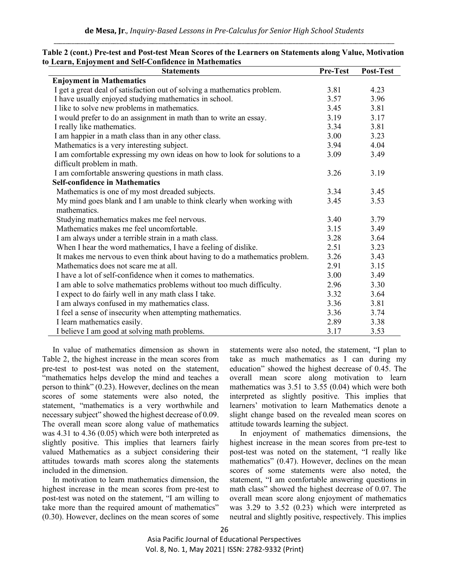| <b>Statements</b>                                                           | Pre-Test | Post-Test |
|-----------------------------------------------------------------------------|----------|-----------|
| <b>Enjoyment in Mathematics</b>                                             |          |           |
| I get a great deal of satisfaction out of solving a mathematics problem.    | 3.81     | 4.23      |
| I have usually enjoyed studying mathematics in school.                      | 3.57     | 3.96      |
| I like to solve new problems in mathematics.                                | 3.45     | 3.81      |
| I would prefer to do an assignment in math than to write an essay.          | 3.19     | 3.17      |
| I really like mathematics.                                                  | 3.34     | 3.81      |
| I am happier in a math class than in any other class.                       | 3.00     | 3.23      |
| Mathematics is a very interesting subject.                                  | 3.94     | 4.04      |
| I am comfortable expressing my own ideas on how to look for solutions to a  | 3.09     | 3.49      |
| difficult problem in math.                                                  |          |           |
| I am comfortable answering questions in math class.                         | 3.26     | 3.19      |
| <b>Self-confidence in Mathematics</b>                                       |          |           |
| Mathematics is one of my most dreaded subjects.                             | 3.34     | 3.45      |
| My mind goes blank and I am unable to think clearly when working with       | 3.45     | 3.53      |
| mathematics.                                                                |          |           |
| Studying mathematics makes me feel nervous.                                 | 3.40     | 3.79      |
| Mathematics makes me feel uncomfortable.                                    | 3.15     | 3.49      |
| I am always under a terrible strain in a math class.                        | 3.28     | 3.64      |
| When I hear the word mathematics, I have a feeling of dislike.              | 2.51     | 3.23      |
| It makes me nervous to even think about having to do a mathematics problem. | 3.26     | 3.43      |
| Mathematics does not scare me at all.                                       | 2.91     | 3.15      |
| I have a lot of self-confidence when it comes to mathematics.               | 3.00     | 3.49      |
| I am able to solve mathematics problems without too much difficulty.        | 2.96     | 3.30      |
| I expect to do fairly well in any math class I take.                        | 3.32     | 3.64      |
| I am always confused in my mathematics class.                               | 3.36     | 3.81      |
| I feel a sense of insecurity when attempting mathematics.                   | 3.36     | 3.74      |
| I learn mathematics easily.                                                 | 2.89     | 3.38      |
| I believe I am good at solving math problems.                               | 3.17     | 3.53      |

| Table 2 (cont.) Pre-test and Post-test Mean Scores of the Learners on Statements along Value, Motivation |
|----------------------------------------------------------------------------------------------------------|
| to Learn, Enjoyment and Self-Confidence in Mathematics                                                   |

In value of mathematics dimension as shown in Table 2, the highest increase in the mean scores from pre-test to post-test was noted on the statement, "mathematics helps develop the mind and teaches a person to think" (0.23). However, declines on the mean scores of some statements were also noted, the statement, "mathematics is a very worthwhile and necessary subject" showed the highest decrease of 0.09. The overall mean score along value of mathematics was 4.31 to 4.36 (0.05) which were both interpreted as slightly positive. This implies that learners fairly valued Mathematics as a subject considering their attitudes towards math scores along the statements included in the dimension.

In motivation to learn mathematics dimension, the highest increase in the mean scores from pre-test to post-test was noted on the statement, "I am willing to take more than the required amount of mathematics" (0.30). However, declines on the mean scores of some statements were also noted, the statement, "I plan to take as much mathematics as I can during my education" showed the highest decrease of 0.45. The overall mean score along motivation to learn mathematics was  $3.51$  to  $3.55$   $(0.04)$  which were both interpreted as slightly positive. This implies that learners' motivation to learn Mathematics denote a slight change based on the revealed mean scores on attitude towards learning the subject.

In enjoyment of mathematics dimensions, the highest increase in the mean scores from pre-test to post-test was noted on the statement, "I really like mathematics" (0.47). However, declines on the mean scores of some statements were also noted, the statement, "I am comfortable answering questions in math class" showed the highest decrease of 0.07. The overall mean score along enjoyment of mathematics was 3.29 to 3.52 (0.23) which were interpreted as neutral and slightly positive, respectively. This implies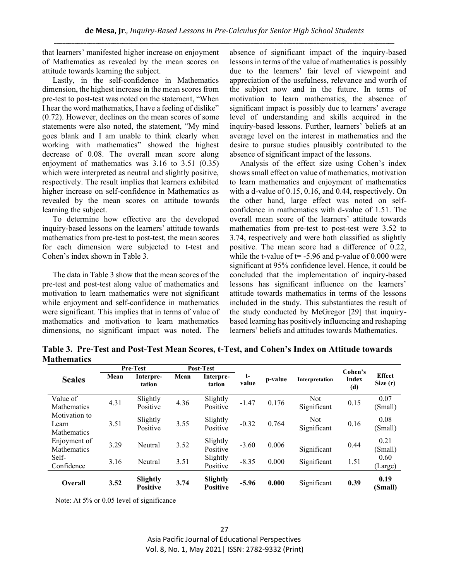that learners' manifested higher increase on enjoyment of Mathematics as revealed by the mean scores on attitude towards learning the subject.

Lastly, in the self-confidence in Mathematics dimension, the highest increase in the mean scores from pre-test to post-test was noted on the statement, "When I hear the word mathematics, I have a feeling of dislike" (0.72). However, declines on the mean scores of some statements were also noted, the statement, "My mind goes blank and I am unable to think clearly when working with mathematics" showed the highest decrease of 0.08. The overall mean score along enjoyment of mathematics was 3.16 to 3.51 (0.35) which were interpreted as neutral and slightly positive, respectively. The result implies that learners exhibited higher increase on self-confidence in Mathematics as revealed by the mean scores on attitude towards learning the subject.

To determine how effective are the developed inquiry-based lessons on the learners' attitude towards mathematics from pre-test to post-test, the mean scores for each dimension were subjected to t-test and Cohen's index shown in Table 3.

The data in Table 3 show that the mean scores of the pre-test and post-test along value of mathematics and motivation to learn mathematics were not significant while enjoyment and self-confidence in mathematics were significant. This implies that in terms of value of mathematics and motivation to learn mathematics dimensions, no significant impact was noted. The absence of significant impact of the inquiry-based lessons in terms of the value of mathematics is possibly due to the learners' fair level of viewpoint and appreciation of the usefulness, relevance and worth of the subject now and in the future. In terms of motivation to learn mathematics, the absence of significant impact is possibly due to learners' average level of understanding and skills acquired in the inquiry-based lessons. Further, learners' beliefs at an average level on the interest in mathematics and the desire to pursue studies plausibly contributed to the absence of significant impact of the lessons.

Analysis of the effect size using Cohen's index shows small effect on value of mathematics, motivation to learn mathematics and enjoyment of mathematics with a d-value of 0.15, 0.16, and 0.44, respectively. On the other hand, large effect was noted on selfconfidence in mathematics with d-value of 1.51. The overall mean score of the learners' attitude towards mathematics from pre-test to post-test were 3.52 to 3.74, respectively and were both classified as slightly positive. The mean score had a difference of 0.22, while the t-value of  $t = -5.96$  and p-value of 0.000 were significant at 95% confidence level. Hence, it could be concluded that the implementation of inquiry-based lessons has significant influence on the learners' attitude towards mathematics in terms of the lessons included in the study. This substantiates the result of the study conducted by McGregor [29] that inquirybased learning has positively influencing and reshaping learners' beliefs and attitudes towards Mathematics.

**Table 3. Pre-Test and Post-Test Mean Scores, t-Test, and Cohen's Index on Attitude towards Mathematics** 

|                                              | Pre-Test |                             | Post-Test |                             |               |         |                           | Cohen's      |                             |
|----------------------------------------------|----------|-----------------------------|-----------|-----------------------------|---------------|---------|---------------------------|--------------|-----------------------------|
| <b>Scales</b>                                | Mean     | Interpre-<br>tation         | Mean      | Interpre-<br>tation         | $t-$<br>value | p-value | Interpretation            | Index<br>(d) | <b>Effect</b><br>Size $(r)$ |
| Value of<br><b>Mathematics</b>               | 4.31     | Slightly<br>Positive        | 4.36      | Slightly<br>Positive        | $-1.47$       | 0.176   | <b>Not</b><br>Significant | 0.15         | 0.07<br>(Small)             |
| Motivation to<br>Learn<br><b>Mathematics</b> | 3.51     | Slightly<br>Positive        | 3.55      | Slightly<br>Positive        | $-0.32$       | 0.764   | <b>Not</b><br>Significant | 0.16         | 0.08<br>(Small)             |
| Enjoyment of<br><b>Mathematics</b>           | 3.29     | Neutral                     | 3.52      | Slightly<br>Positive        | $-3.60$       | 0.006   | Significant               | 0.44         | 0.21<br>(Small)             |
| Self-<br>Confidence                          | 3.16     | Neutral                     | 3.51      | Slightly<br>Positive        | $-8.35$       | 0.000   | Significant               | 1.51         | 0.60<br>(Large)             |
| Overall                                      | 3.52     | Slightly<br><b>Positive</b> | 3.74      | Slightly<br><b>Positive</b> | $-5.96$       | 0.000   | Significant               | 0.39         | 0.19<br>(Small)             |

Note: At 5% or 0.05 level of significance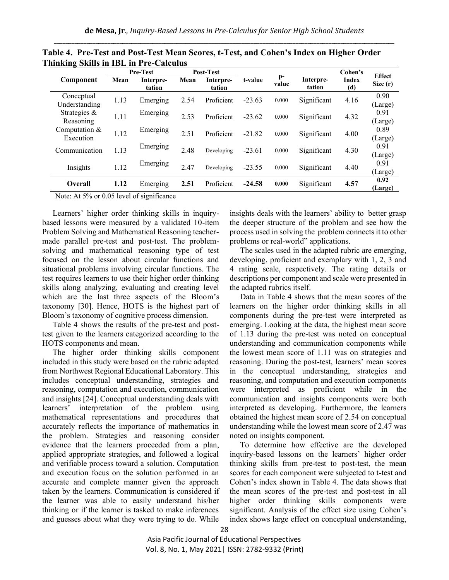|                              | <b>Pre-Test</b> |                     | Post-Test |                     |          |               |                     | Cohen's             | <b>Effect</b>   |
|------------------------------|-----------------|---------------------|-----------|---------------------|----------|---------------|---------------------|---------------------|-----------------|
| Component                    | Mean            | Interpre-<br>tation | Mean      | Interpre-<br>tation | t-value  | $p-$<br>value | Interpre-<br>tation | <b>Index</b><br>(d) | Size $(r)$      |
| Conceptual<br>Understanding  | 1.13            | Emerging            | 2.54      | Proficient          | $-23.63$ | 0.000         | Significant         | 4.16                | 0.90<br>(Large) |
| Strategies &<br>Reasoning    | 1.11            | Emerging            | 2.53      | Proficient          | $-23.62$ | 0.000         | Significant         | 4.32                | 0.91<br>(Large) |
| Computation $&$<br>Execution | 1.12            | Emerging            | 2.51      | Proficient          | $-21.82$ | 0.000         | Significant         | 4.00                | 0.89<br>(Large) |
| Communication                | 1.13            | Emerging            | 2.48      | Developing          | $-23.61$ | 0.000         | Significant         | 4.30                | 0.91<br>(Large) |
| Insights                     | 1.12            | Emerging            | 2.47      | Developing          | $-23.55$ | 0.000         | Significant         | 4.40                | 0.91<br>(Large) |
| Overall                      | 1.12            | Emerging            | 2.51      | Proficient          | $-24.58$ | 0.000         | Significant         | 4.57                | 0.92<br>(Large) |

**Table 4. Pre-Test and Post-Test Mean Scores, t-Test, and Cohen's Index on Higher Order Thinking Skills in IBL in Pre-Calculus**

Note: At 5% or 0.05 level of significance

Learners' higher order thinking skills in inquirybased lessons were measured by a validated 10-item Problem Solving and Mathematical Reasoning teachermade parallel pre-test and post-test. The problemsolving and mathematical reasoning type of test focused on the lesson about circular functions and situational problems involving circular functions. The test requires learners to use their higher order thinking skills along analyzing, evaluating and creating level which are the last three aspects of the Bloom's taxonomy [30]. Hence, HOTS is the highest part of Bloom's taxonomy of cognitive process dimension.

Table 4 shows the results of the pre-test and posttest given to the learners categorized according to the HOTS components and mean.

The higher order thinking skills component included in this study were based on the rubric adapted from Northwest Regional Educational Laboratory. This includes conceptual understanding, strategies and reasoning, computation and execution, communication and insights [24]. Conceptual understanding deals with learners' interpretation of the problem using mathematical representations and procedures that accurately reflects the importance of mathematics in the problem. Strategies and reasoning consider evidence that the learners proceeded from a plan, applied appropriate strategies, and followed a logical and verifiable process toward a solution. Computation and execution focus on the solution performed in an accurate and complete manner given the approach taken by the learners. Communication is considered if the learner was able to easily understand his/her thinking or if the learner is tasked to make inferences and guesses about what they were trying to do. While

insights deals with the learners' ability to better grasp the deeper structure of the problem and see how the process used in solving the problem connects it to other problems or real-world" applications.

The scales used in the adapted rubric are emerging, developing, proficient and exemplary with 1, 2, 3 and 4 rating scale, respectively. The rating details or descriptions per component and scale were presented in the adapted rubrics itself.

Data in Table 4 shows that the mean scores of the learners on the higher order thinking skills in all components during the pre-test were interpreted as emerging. Looking at the data, the highest mean score of 1.13 during the pre-test was noted on conceptual understanding and communication components while the lowest mean score of 1.11 was on strategies and reasoning. During the post-test, learners' mean scores in the conceptual understanding, strategies and reasoning, and computation and execution components were interpreted as proficient while in the communication and insights components were both interpreted as developing. Furthermore, the learners obtained the highest mean score of 2.54 on conceptual understanding while the lowest mean score of 2.47 was noted on insights component.

To determine how effective are the developed inquiry-based lessons on the learners' higher order thinking skills from pre-test to post-test, the mean scores for each component were subjected to t-test and Cohen's index shown in Table 4. The data shows that the mean scores of the pre-test and post-test in all higher order thinking skills components were significant. Analysis of the effect size using Cohen's index shows large effect on conceptual understanding,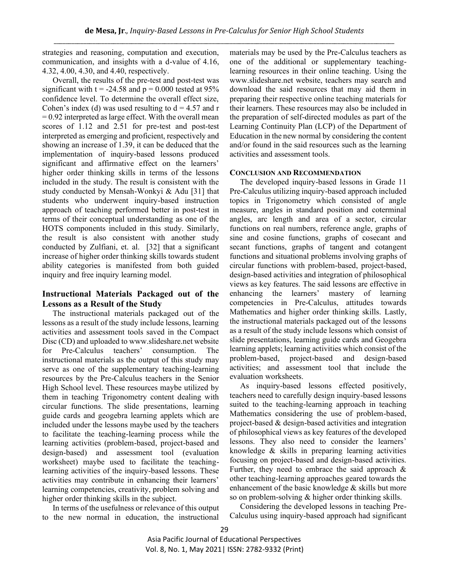strategies and reasoning, computation and execution, communication, and insights with a d-value of 4.16, 4.32, 4.00, 4.30, and 4.40, respectively.

Overall, the results of the pre-test and post-test was significant with  $t = -24.58$  and  $p = 0.000$  tested at 95% confidence level. To determine the overall effect size, Cohen's index (d) was used resulting to  $d = 4.57$  and r  $= 0.92$  interpreted as large effect. With the overall mean scores of 1.12 and 2.51 for pre-test and post-test interpreted as emerging and proficient, respectively and showing an increase of 1.39, it can be deduced that the implementation of inquiry-based lessons produced significant and affirmative effect on the learners' higher order thinking skills in terms of the lessons included in the study. The result is consistent with the study conducted by Mensah-Wonkyi & Adu [31] that students who underwent inquiry-based instruction approach of teaching performed better in post-test in terms of their conceptual understanding as one of the HOTS components included in this study. Similarly, the result is also consistent with another study conducted by Zulfiani, et. al. [32] that a significant increase of higher order thinking skills towards student ability categories is manifested from both guided inquiry and free inquiry learning model.

# **Instructional Materials Packaged out of the Lessons as a Result of the Study**

The instructional materials packaged out of the lessons as a result of the study include lessons, learning activities and assessment tools saved in the Compact Disc (CD) and uploaded to www.slideshare.net website for Pre-Calculus teachers' consumption. The instructional materials as the output of this study may serve as one of the supplementary teaching-learning resources by the Pre-Calculus teachers in the Senior High School level. These resources maybe utilized by them in teaching Trigonometry content dealing with circular functions. The slide presentations, learning guide cards and geogebra learning applets which are included under the lessons maybe used by the teachers to facilitate the teaching-learning process while the learning activities (problem-based, project-based and design-based) and assessment tool (evaluation worksheet) maybe used to facilitate the teachinglearning activities of the inquiry-based lessons. These activities may contribute in enhancing their learners' learning competencies, creativity, problem solving and higher order thinking skills in the subject.

In terms of the usefulness or relevance of this output to the new normal in education, the instructional materials may be used by the Pre-Calculus teachers as one of the additional or supplementary teachinglearning resources in their online teaching. Using the www.slideshare.net website, teachers may search and download the said resources that may aid them in preparing their respective online teaching materials for their learners. These resources may also be included in the preparation of self-directed modules as part of the Learning Continuity Plan (LCP) of the Department of Education in the new normal by considering the content and/or found in the said resources such as the learning activities and assessment tools.

## **CONCLUSION AND RECOMMENDATION**

The developed inquiry-based lessons in Grade 11 Pre-Calculus utilizing inquiry-based approach included topics in Trigonometry which consisted of angle measure, angles in standard position and coterminal angles, arc length and area of a sector, circular functions on real numbers, reference angle, graphs of sine and cosine functions, graphs of cosecant and secant functions, graphs of tangent and cotangent functions and situational problems involving graphs of circular functions with problem-based, project-based, design-based activities and integration of philosophical views as key features. The said lessons are effective in enhancing the learners' mastery of learning competencies in Pre-Calculus, attitudes towards Mathematics and higher order thinking skills. Lastly, the instructional materials packaged out of the lessons as a result of the study include lessons which consist of slide presentations, learning guide cards and Geogebra learning applets; learning activities which consist of the problem-based, project-based and design-based activities; and assessment tool that include the evaluation worksheets.

As inquiry-based lessons effected positively, teachers need to carefully design inquiry-based lessons suited to the teaching-learning approach in teaching Mathematics considering the use of problem-based, project-based & design-based activities and integration of philosophical views as key features of the developed lessons. They also need to consider the learners' knowledge & skills in preparing learning activities focusing on project-based and design-based activities. Further, they need to embrace the said approach  $\&$ other teaching-learning approaches geared towards the enhancement of the basic knowledge & skills but more so on problem-solving & higher order thinking skills.

Considering the developed lessons in teaching Pre-Calculus using inquiry-based approach had significant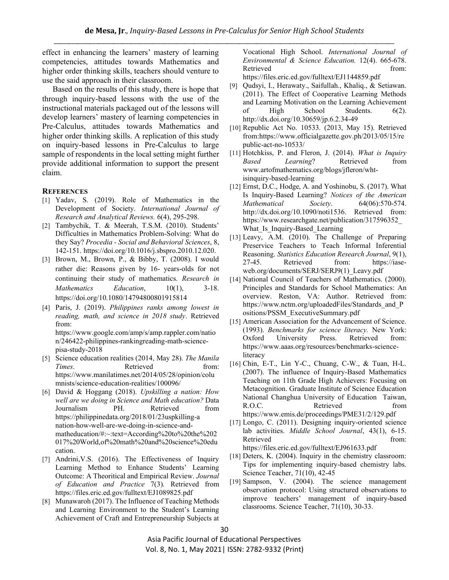effect in enhancing the learners' mastery of learning competencies, attitudes towards Mathematics and higher order thinking skills, teachers should venture to use the said approach in their classroom.

Based on the results of this study, there is hope that through inquiry-based lessons with the use of the instructional materials packaged out of the lessons will develop learners' mastery of learning competencies in Pre-Calculus, attitudes towards Mathematics and higher order thinking skills. A replication of this study on inquiry-based lessons in Pre-Calculus to large sample of respondents in the local setting might further provide additional information to support the present claim.

#### **REFERENCES**

- [1] Yadav, S. (2019). Role of Mathematics in the Development of Society. *International Journal of Research and Analytical Reviews.* 6(4), 295-298.
- [2] Tambychik, T. & Meerah, T.S.M. (2010). Students' Difficulties in Mathematics Problem-Solving: What do they Say? *Procedia - Social and Behavioral Sciences*, 8, 142-151. https://doi.org/10.1016/j.sbspro.2010.12.020.
- [3] Brown, M., Brown, P., & Bibby, T. (2008). I would rather die: Reasons given by 16- years-olds for not continuing their study of mathematics. *Research in Mathematics Education*, 10(1), 3-18. https://doi.org/10.1080/14794800801915814
- [4] Paris, J. (2019). *Philippines ranks among lowest in reading, math, and science in 2018 study*. Retrieved from: https://www.google.com/amp/s/amp.rappler.com/natio

n/246422-philippines-rankingreading-math-sciencepisa-study-2018

- [5] Science education realities (2014, May 28). *The Manila Times.* Retrieved from: https://www.manilatimes.net/2014/05/28/opinion/colu mnists/science-education-realities/100096/
- [6] David & Hoggang (2018). *Upskilling a nation: How well are we doing in Science and Math education?* Data Journalism PH. Retrieved from https://philippinedata.org/2018/01/23uspkilling-a nation-how-well-are-we-doing-in-science-andmatheducation/#:~:text=According%20to%20the%202 017%20World,of%20math%20and%20science%20edu cation.
- [7] Andrini, V.S. (2016). The Effectiveness of Inquiry Learning Method to Enhance Students' Learning Outcome: A Theoritical and Empirical Review. *Journal of Education and Practice* 7(3). Retrieved from https://files.eric.ed.gov/fulltext/EJ1089825.pdf
- [8] Munawaroh (2017). The Influence of Teaching Methods and Learning Environment to the Student's Learning Achievement of Craft and Entrepreneurship Subjects at

Vocational High School. *International Journal of Environmental & Science Education.* 12(4). 665-678. Retrieved from: https://files.eric.ed.gov/fulltext/EJ1144859.pdf

- [9] Qudsyi, I., Herawaty., Saifullah., Khaliq., & Setiawan. (2011). The Effect of Cooperative Learning Methods and Learning Motivation on the Learning Achievement of High School Students. 6(2). http://dx.doi.org/10.30659/jp.6.2.34-49
- [10] Republic Act No. 10533. (2013, May 15). Retrieved from:https://www.officialgazette.gov.ph/2013/05/15/re public-act-no-10533/
- [11] Hotchkiss, P. and Fleron, J. (2014). *What is Inquiry Based Learning*? Retrieved from www.artofmathematics.org/blogs/jfleron/whtisinquiry-based-learning
- [12] Ernst, D.C., Hodge, A. and Yoshinobu, S. (2017). What Is Inquiry-Based Learning? *Notices of the American Mathematical Society*. 64(06):570-574. http://dx.doi.org/10.1090/noti1536. Retrieved from: https://www.researchgate.net/publication/317596352\_ What Is Inquiry-Based Learning
- [13] Leavy, A.M. (2010). The Challenge of Preparing Preservice Teachers to Teach Informal Inferential Reasoning. *Statistics Education Research Journal*, 9(1), 27-45. Retrieved from: https://iaseweb.org/documents/SERJ/SERJ9(1)\_Leavy.pdf
- [14] National Council of Teachers of Mathematics. (2000). Principles and Standards for School Mathematics: An overview. Reston, VA: Author. Retrieved from: https://www.nctm.org/uploadedFiles/Standards\_and\_P ositions/PSSM\_ExecutiveSummary.pdf
- [15] American Association for the Advancement of Science. (1993). *Benchmarks for science literacy.* New York: Oxford University Press. Retrieved from: https://www.aaas.org/resources/benchmarks-scienceliteracy
- [16] Chin, E-T., Lin Y-C., Chuang, C-W., & Tuan, H-L. (2007). The influence of Inquiry-Based Mathematics Teaching on 11th Grade High Achievers: Focusing on Metacognition. Graduate Institute of Science Education National Changhua University of Education Taiwan, R.O.C. Retrieved from https://www.emis.de/proceedings/PME31/2/129.pdf
- [17] Longo, C. (2011). Designing inquiry-oriented science lab activities. *Middle School Journal*, 43(1), 6-15. Retrieved from: https://files.eric.ed.gov/fulltext/EJ961633.pdf
- [18] Deters, K. (2004). Inquiry in the chemistry classroom: Tips for implementing inquiry-based chemistry labs. Science Teacher, 71(10), 42-45
- [19] Sampson, V. (2004). The science management observation protocol: Using structured observations to improve teachers' management of inquiry-based classrooms. Science Teacher, 71(10), 30-33.